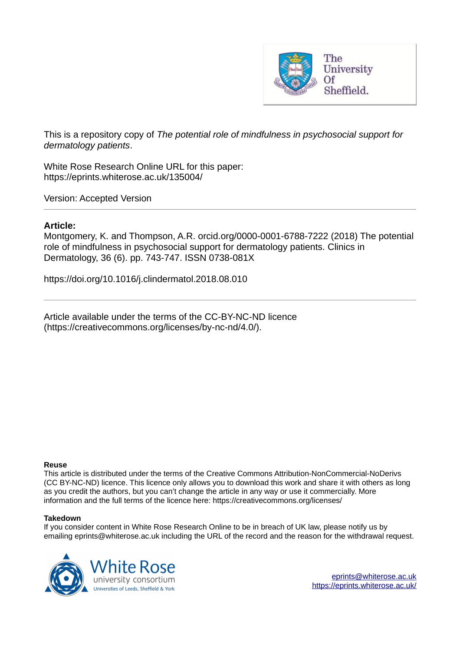

This is a repository copy of *The potential role of mindfulness in psychosocial support for dermatology patients*.

White Rose Research Online URL for this paper: https://eprints.whiterose.ac.uk/135004/

Version: Accepted Version

## **Article:**

Montgomery, K. and Thompson, A.R. orcid.org/0000-0001-6788-7222 (2018) The potential role of mindfulness in psychosocial support for dermatology patients. Clinics in Dermatology, 36 (6). pp. 743-747. ISSN 0738-081X

https://doi.org/10.1016/j.clindermatol.2018.08.010

Article available under the terms of the CC-BY-NC-ND licence (https://creativecommons.org/licenses/by-nc-nd/4.0/).

### **Reuse**

This article is distributed under the terms of the Creative Commons Attribution-NonCommercial-NoDerivs (CC BY-NC-ND) licence. This licence only allows you to download this work and share it with others as long as you credit the authors, but you can't change the article in any way or use it commercially. More information and the full terms of the licence here: https://creativecommons.org/licenses/

### **Takedown**

If you consider content in White Rose Research Online to be in breach of UK law, please notify us by emailing eprints@whiterose.ac.uk including the URL of the record and the reason for the withdrawal request.

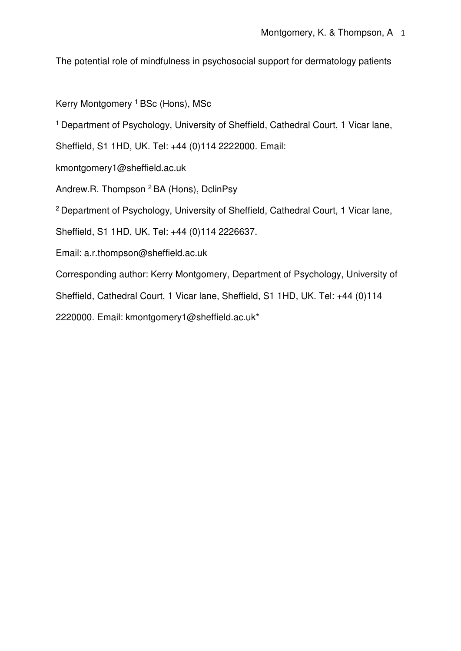The potential role of mindfulness in psychosocial support for dermatology patients

Kerry Montgomery <sup>1</sup> BSc (Hons), MSc

<sup>1</sup> Department of Psychology, University of Sheffield, Cathedral Court, 1 Vicar lane,

Sheffield, S1 1HD, UK. Tel: +44 (0)114 2222000. Email:

kmontgomery1@sheffield.ac.uk

Andrew.R. Thompson <sup>2</sup> BA (Hons), DclinPsy

<sup>2</sup> Department of Psychology, University of Sheffield, Cathedral Court, 1 Vicar lane,

Sheffield, S1 1HD, UK. Tel: +44 (0)114 2226637.

Email: a.r.thompson@sheffield.ac.uk

Corresponding author: Kerry Montgomery, Department of Psychology, University of

Sheffield, Cathedral Court, 1 Vicar lane, Sheffield, S1 1HD, UK. Tel: +44 (0)114

2220000. Email: kmontgomery1@sheffield.ac.uk\*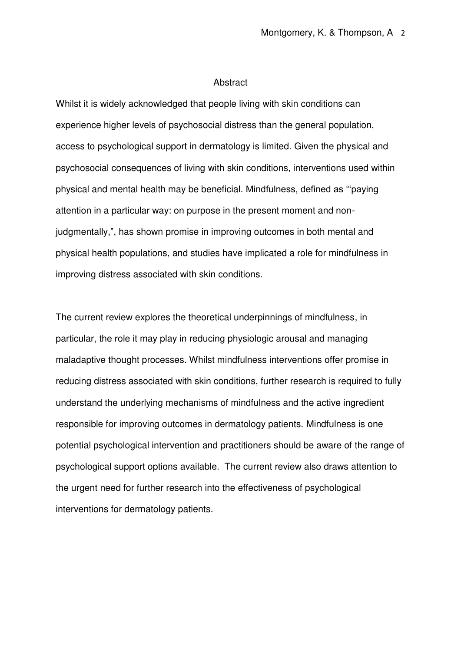## **Abstract**

Whilst it is widely acknowledged that people living with skin conditions can experience higher levels of psychosocial distress than the general population, access to psychological support in dermatology is limited. Given the physical and psychosocial consequences of living with skin conditions, interventions used within physical and mental health may be beneficial. Mindfulness, defined as '"paying attention in a particular way: on purpose in the present moment and nonjudgmentally,", has shown promise in improving outcomes in both mental and physical health populations, and studies have implicated a role for mindfulness in improving distress associated with skin conditions.

The current review explores the theoretical underpinnings of mindfulness, in particular, the role it may play in reducing physiologic arousal and managing maladaptive thought processes. Whilst mindfulness interventions offer promise in reducing distress associated with skin conditions, further research is required to fully understand the underlying mechanisms of mindfulness and the active ingredient responsible for improving outcomes in dermatology patients. Mindfulness is one potential psychological intervention and practitioners should be aware of the range of psychological support options available. The current review also draws attention to the urgent need for further research into the effectiveness of psychological interventions for dermatology patients.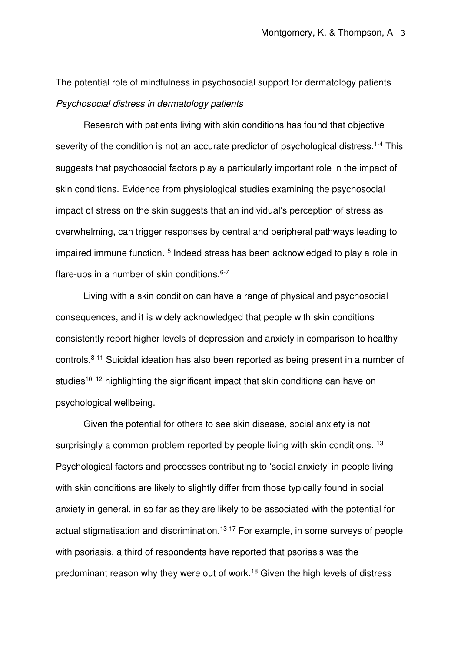The potential role of mindfulness in psychosocial support for dermatology patients Psychosocial distress in dermatology patients

Research with patients living with skin conditions has found that objective severity of the condition is not an accurate predictor of psychological distress.<sup>1-4</sup> This suggests that psychosocial factors play a particularly important role in the impact of skin conditions. Evidence from physiological studies examining the psychosocial impact of stress on the skin suggests that an individual's perception of stress as overwhelming, can trigger responses by central and peripheral pathways leading to impaired immune function.<sup>5</sup> Indeed stress has been acknowledged to play a role in flare-ups in a number of skin conditions. 6-7

Living with a skin condition can have a range of physical and psychosocial consequences, and it is widely acknowledged that people with skin conditions consistently report higher levels of depression and anxiety in comparison to healthy controls.8-11 Suicidal ideation has also been reported as being present in a number of studies<sup>10, 12</sup> highlighting the significant impact that skin conditions can have on psychological wellbeing.

Given the potential for others to see skin disease, social anxiety is not surprisingly a common problem reported by people living with skin conditions.<sup>13</sup> Psychological factors and processes contributing to 'social anxiety' in people living with skin conditions are likely to slightly differ from those typically found in social anxiety in general, in so far as they are likely to be associated with the potential for actual stigmatisation and discrimination.<sup>13-17</sup> For example, in some surveys of people with psoriasis, a third of respondents have reported that psoriasis was the predominant reason why they were out of work.18 Given the high levels of distress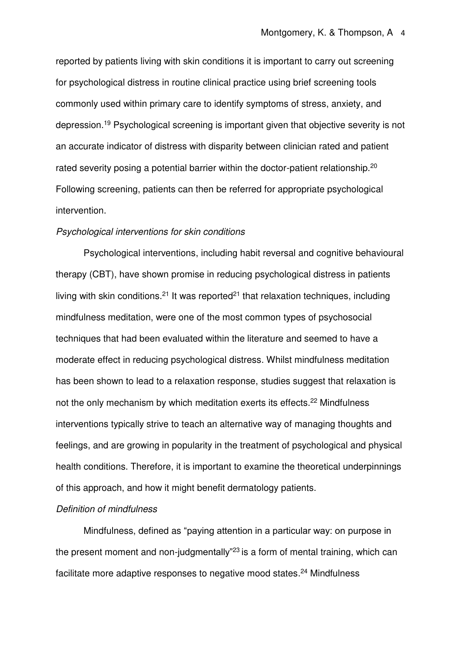reported by patients living with skin conditions it is important to carry out screening for psychological distress in routine clinical practice using brief screening tools commonly used within primary care to identify symptoms of stress, anxiety, and depression.<sup>19</sup> Psychological screening is important given that objective severity is not an accurate indicator of distress with disparity between clinician rated and patient rated severity posing a potential barrier within the doctor-patient relationship.<sup>20</sup> Following screening, patients can then be referred for appropriate psychological intervention.

### Psychological interventions for skin conditions

Psychological interventions, including habit reversal and cognitive behavioural therapy (CBT), have shown promise in reducing psychological distress in patients living with skin conditions.<sup>21</sup> It was reported<sup>21</sup> that relaxation techniques, including mindfulness meditation, were one of the most common types of psychosocial techniques that had been evaluated within the literature and seemed to have a moderate effect in reducing psychological distress. Whilst mindfulness meditation has been shown to lead to a relaxation response, studies suggest that relaxation is not the only mechanism by which meditation exerts its effects.<sup>22</sup> Mindfulness interventions typically strive to teach an alternative way of managing thoughts and feelings, and are growing in popularity in the treatment of psychological and physical health conditions. Therefore, it is important to examine the theoretical underpinnings of this approach, and how it might benefit dermatology patients.

## Definition of mindfulness

Mindfulness, defined as "paying attention in a particular way: on purpose in the present moment and non-judgmentally<sup>"23</sup> is a form of mental training, which can facilitate more adaptive responses to negative mood states.<sup>24</sup> Mindfulness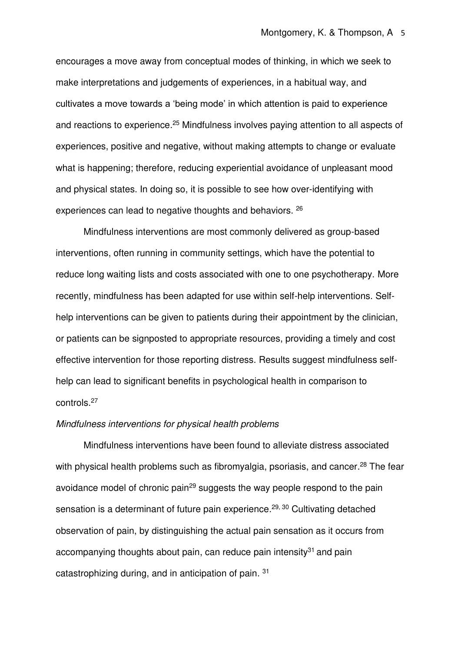encourages a move away from conceptual modes of thinking, in which we seek to make interpretations and judgements of experiences, in a habitual way, and cultivates a move towards a 'being mode' in which attention is paid to experience and reactions to experience.<sup>25</sup> Mindfulness involves paying attention to all aspects of experiences, positive and negative, without making attempts to change or evaluate what is happening; therefore, reducing experiential avoidance of unpleasant mood and physical states. In doing so, it is possible to see how over-identifying with experiences can lead to negative thoughts and behaviors. <sup>26</sup>

Mindfulness interventions are most commonly delivered as group-based interventions, often running in community settings, which have the potential to reduce long waiting lists and costs associated with one to one psychotherapy. More recently, mindfulness has been adapted for use within self-help interventions. Selfhelp interventions can be given to patients during their appointment by the clinician, or patients can be signposted to appropriate resources, providing a timely and cost effective intervention for those reporting distress. Results suggest mindfulness selfhelp can lead to significant benefits in psychological health in comparison to controls.<sup>27</sup>

# Mindfulness interventions for physical health problems

Mindfulness interventions have been found to alleviate distress associated with physical health problems such as fibromyalgia, psoriasis, and cancer.<sup>28</sup> The fear avoidance model of chronic pain<sup>29</sup> suggests the way people respond to the pain sensation is a determinant of future pain experience.<sup>29, 30</sup> Cultivating detached observation of pain, by distinguishing the actual pain sensation as it occurs from accompanying thoughts about pain, can reduce pain intensity $31$  and pain catastrophizing during, and in anticipation of pain. <sup>31</sup>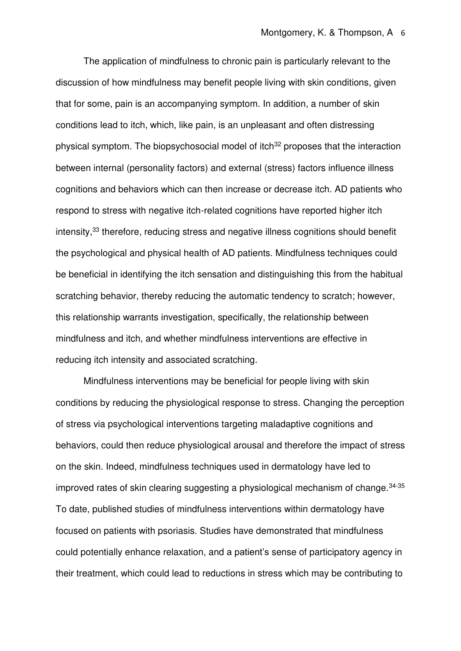The application of mindfulness to chronic pain is particularly relevant to the discussion of how mindfulness may benefit people living with skin conditions, given that for some, pain is an accompanying symptom. In addition, a number of skin conditions lead to itch, which, like pain, is an unpleasant and often distressing physical symptom. The biopsychosocial model of itch<sup>32</sup> proposes that the interaction between internal (personality factors) and external (stress) factors influence illness cognitions and behaviors which can then increase or decrease itch. AD patients who respond to stress with negative itch-related cognitions have reported higher itch intensity,<sup>33</sup> therefore, reducing stress and negative illness cognitions should benefit the psychological and physical health of AD patients. Mindfulness techniques could be beneficial in identifying the itch sensation and distinguishing this from the habitual scratching behavior, thereby reducing the automatic tendency to scratch; however, this relationship warrants investigation, specifically, the relationship between mindfulness and itch, and whether mindfulness interventions are effective in reducing itch intensity and associated scratching.

Mindfulness interventions may be beneficial for people living with skin conditions by reducing the physiological response to stress. Changing the perception of stress via psychological interventions targeting maladaptive cognitions and behaviors, could then reduce physiological arousal and therefore the impact of stress on the skin. Indeed, mindfulness techniques used in dermatology have led to improved rates of skin clearing suggesting a physiological mechanism of change.  $34-35$ To date, published studies of mindfulness interventions within dermatology have focused on patients with psoriasis. Studies have demonstrated that mindfulness could potentially enhance relaxation, and a patient's sense of participatory agency in their treatment, which could lead to reductions in stress which may be contributing to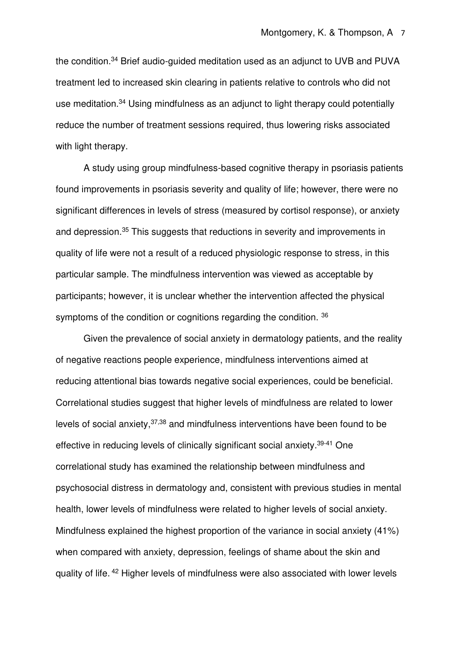the condition.<sup>34</sup> Brief audio-guided meditation used as an adjunct to UVB and PUVA treatment led to increased skin clearing in patients relative to controls who did not use meditation.<sup>34</sup> Using mindfulness as an adjunct to light therapy could potentially reduce the number of treatment sessions required, thus lowering risks associated with light therapy.

A study using group mindfulness-based cognitive therapy in psoriasis patients found improvements in psoriasis severity and quality of life; however, there were no significant differences in levels of stress (measured by cortisol response), or anxiety and depression.<sup>35</sup> This suggests that reductions in severity and improvements in quality of life were not a result of a reduced physiologic response to stress, in this particular sample. The mindfulness intervention was viewed as acceptable by participants; however, it is unclear whether the intervention affected the physical symptoms of the condition or cognitions regarding the condition. 36

Given the prevalence of social anxiety in dermatology patients, and the reality of negative reactions people experience, mindfulness interventions aimed at reducing attentional bias towards negative social experiences, could be beneficial. Correlational studies suggest that higher levels of mindfulness are related to lower levels of social anxiety,  $37,38$  and mindfulness interventions have been found to be effective in reducing levels of clinically significant social anxiety.39-41 One correlational study has examined the relationship between mindfulness and psychosocial distress in dermatology and, consistent with previous studies in mental health, lower levels of mindfulness were related to higher levels of social anxiety. Mindfulness explained the highest proportion of the variance in social anxiety (41%) when compared with anxiety, depression, feelings of shame about the skin and quality of life. <sup>42</sup> Higher levels of mindfulness were also associated with lower levels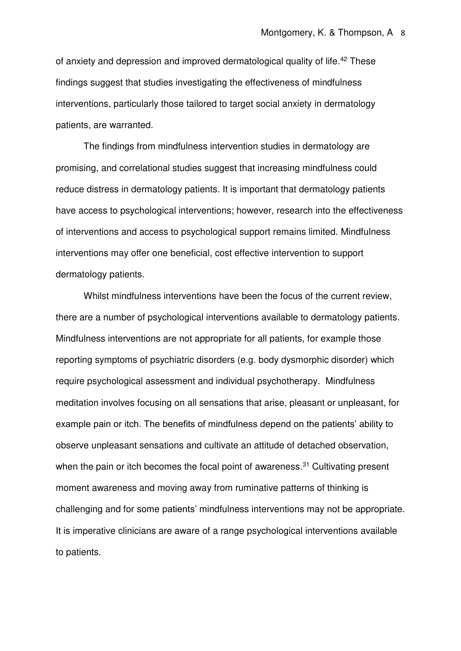of anxiety and depression and improved dermatological quality of life.<sup>42</sup> These findings suggest that studies investigating the effectiveness of mindfulness interventions, particularly those tailored to target social anxiety in dermatology patients, are warranted.

The findings from mindfulness intervention studies in dermatology are promising, and correlational studies suggest that increasing mindfulness could reduce distress in dermatology patients. It is important that dermatology patients have access to psychological interventions; however, research into the effectiveness of interventions and access to psychological support remains limited. Mindfulness interventions may offer one beneficial, cost effective intervention to support dermatology patients.

Whilst mindfulness interventions have been the focus of the current review, there are a number of psychological interventions available to dermatology patients. Mindfulness interventions are not appropriate for all patients, for example those reporting symptoms of psychiatric disorders (e.g. body dysmorphic disorder) which require psychological assessment and individual psychotherapy. Mindfulness meditation involves focusing on all sensations that arise, pleasant or unpleasant, for example pain or itch. The benefits of mindfulness depend on the patients' ability to observe unpleasant sensations and cultivate an attitude of detached observation, when the pain or itch becomes the focal point of awareness.<sup>31</sup> Cultivating present moment awareness and moving away from ruminative patterns of thinking is challenging and for some patients' mindfulness interventions may not be appropriate. It is imperative clinicians are aware of a range psychological interventions available to patients.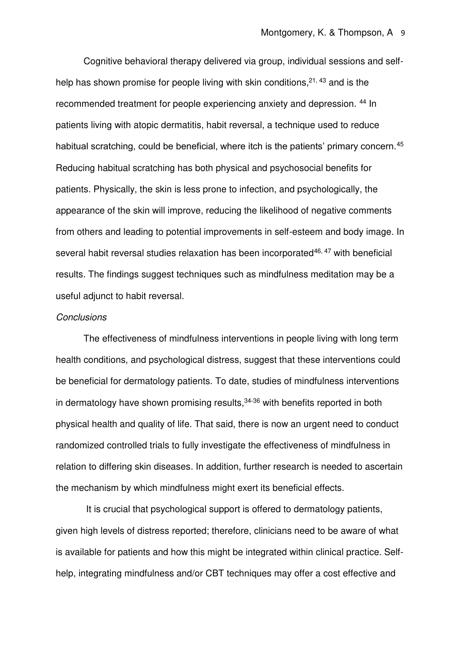Cognitive behavioral therapy delivered via group, individual sessions and selfhelp has shown promise for people living with skin conditions.<sup>21, 43</sup> and is the recommended treatment for people experiencing anxiety and depression. <sup>44</sup> In patients living with atopic dermatitis, habit reversal, a technique used to reduce habitual scratching, could be beneficial, where itch is the patients' primary concern.<sup>45</sup> Reducing habitual scratching has both physical and psychosocial benefits for patients. Physically, the skin is less prone to infection, and psychologically, the appearance of the skin will improve, reducing the likelihood of negative comments from others and leading to potential improvements in self-esteem and body image. In several habit reversal studies relaxation has been incorporated $46, 47$  with beneficial results. The findings suggest techniques such as mindfulness meditation may be a useful adjunct to habit reversal.

# **Conclusions**

 The effectiveness of mindfulness interventions in people living with long term health conditions, and psychological distress, suggest that these interventions could be beneficial for dermatology patients. To date, studies of mindfulness interventions in dermatology have shown promising results, $34-36$  with benefits reported in both physical health and quality of life. That said, there is now an urgent need to conduct randomized controlled trials to fully investigate the effectiveness of mindfulness in relation to differing skin diseases. In addition, further research is needed to ascertain the mechanism by which mindfulness might exert its beneficial effects.

 It is crucial that psychological support is offered to dermatology patients, given high levels of distress reported; therefore, clinicians need to be aware of what is available for patients and how this might be integrated within clinical practice. Selfhelp, integrating mindfulness and/or CBT techniques may offer a cost effective and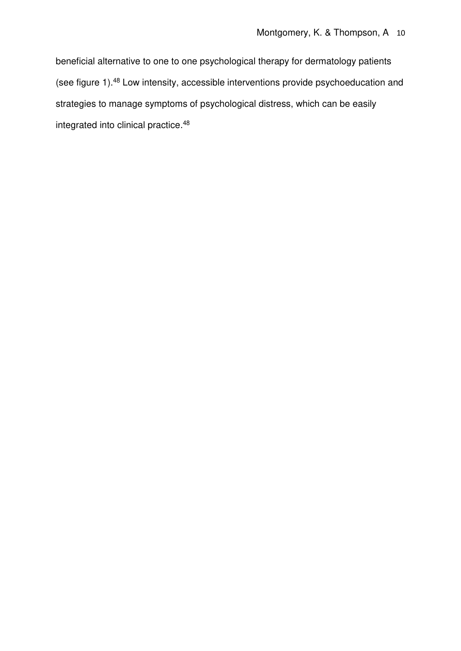beneficial alternative to one to one psychological therapy for dermatology patients (see figure 1).<sup>48</sup> Low intensity, accessible interventions provide psychoeducation and strategies to manage symptoms of psychological distress, which can be easily integrated into clinical practice.<sup>48</sup>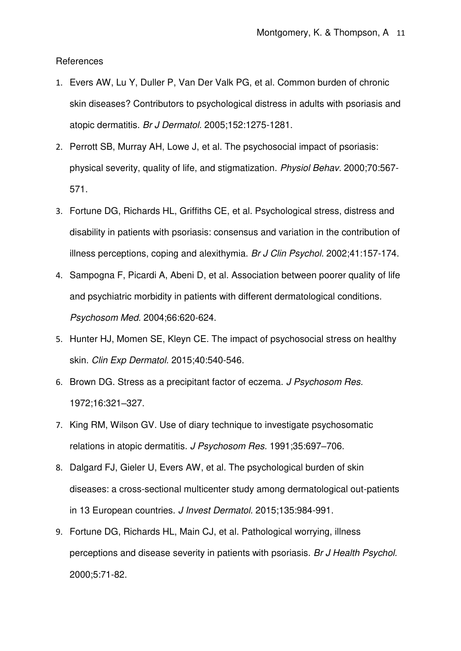References

- 1. Evers AW, Lu Y, Duller P, Van Der Valk PG, et al. Common burden of chronic skin diseases? Contributors to psychological distress in adults with psoriasis and atopic dermatitis. Br J Dermatol. 2005;152:1275-1281.
- 2. Perrott SB, Murray AH, Lowe J, et al. The psychosocial impact of psoriasis: physical severity, quality of life, and stigmatization. Physiol Behav. 2000;70:567- 571.
- 3. Fortune DG, Richards HL, Griffiths CE, et al. Psychological stress, distress and disability in patients with psoriasis: consensus and variation in the contribution of illness perceptions, coping and alexithymia. Br J Clin Psychol. 2002;41:157-174.
- 4. Sampogna F, Picardi A, Abeni D, et al. Association between poorer quality of life and psychiatric morbidity in patients with different dermatological conditions. Psychosom Med. 2004;66:620-624.
- 5. Hunter HJ, Momen SE, Kleyn CE. The impact of psychosocial stress on healthy skin. Clin Exp Dermatol. 2015;40:540-546.
- 6. Brown DG. Stress as a precipitant factor of eczema. J Psychosom Res. 1972;16:321–327.
- 7. King RM, Wilson GV. Use of diary technique to investigate psychosomatic relations in atopic dermatitis. J Psychosom Res. 1991;35:697–706.
- 8. Dalgard FJ, Gieler U, Evers AW, et al. The psychological burden of skin diseases: a cross-sectional multicenter study among dermatological out-patients in 13 European countries. J Invest Dermatol. 2015;135:984-991.
- 9. Fortune DG, Richards HL, Main CJ, et al. Pathological worrying, illness perceptions and disease severity in patients with psoriasis. Br J Health Psychol. 2000;5:71-82.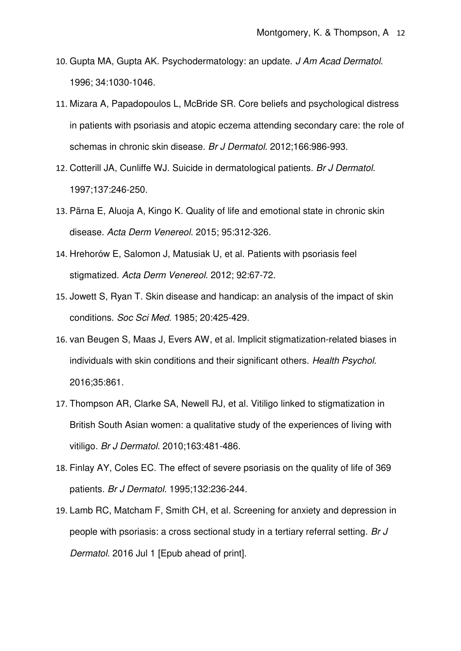- 10. Gupta MA, Gupta AK. Psychodermatology: an update. J Am Acad Dermatol. 1996; 34:1030-1046.
- 11. Mizara A, Papadopoulos L, McBride SR. Core beliefs and psychological distress in patients with psoriasis and atopic eczema attending secondary care: the role of schemas in chronic skin disease. Br J Dermatol. 2012;166:986-993.
- 12. Cotterill JA, Cunliffe WJ. Suicide in dermatological patients. Br J Dermatol. 1997;137:246-250.
- 13. Pärna E, Aluoja A, Kingo K. Quality of life and emotional state in chronic skin disease. Acta Derm Venereol. 2015; 95:312-326.
- 14. Hrehorów E, Salomon J, Matusiak U, et al. Patients with psoriasis feel stigmatized. Acta Derm Venereol. 2012; 92:67-72.
- 15. Jowett S, Ryan T. Skin disease and handicap: an analysis of the impact of skin conditions. Soc Sci Med. 1985; 20:425-429.
- 16. van Beugen S, Maas J, Evers AW, et al. Implicit stigmatization-related biases in individuals with skin conditions and their significant others. Health Psychol. 2016;35:861.
- 17. Thompson AR, Clarke SA, Newell RJ, et al. Vitiligo linked to stigmatization in British South Asian women: a qualitative study of the experiences of living with vitiligo. Br J Dermatol. 2010;163:481-486.
- 18. Finlay AY, Coles EC. The effect of severe psoriasis on the quality of life of 369 patients. Br J Dermatol. 1995;132:236-244.
- 19. Lamb RC, Matcham F, Smith CH, et al. Screening for anxiety and depression in people with psoriasis: a cross sectional study in a tertiary referral setting. Br J Dermatol. 2016 Jul 1 [Epub ahead of print].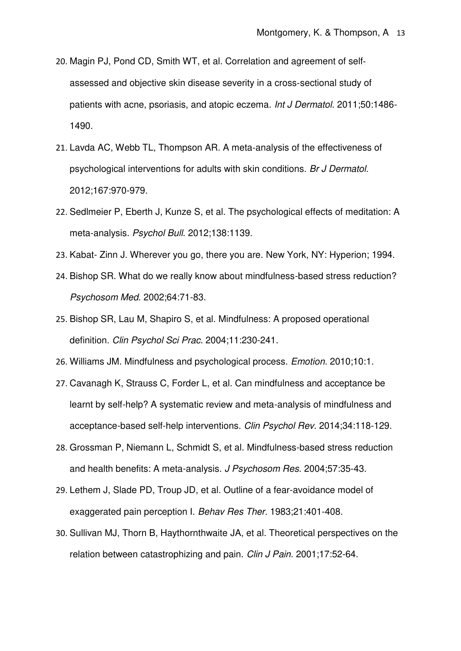- 20. Magin PJ, Pond CD, Smith WT, et al. Correlation and agreement of self‐ assessed and objective skin disease severity in a cross‐sectional study of patients with acne, psoriasis, and atopic eczema. Int J Dermatol. 2011;50:1486- 1490.
- 21. Lavda AC, Webb TL, Thompson AR. A meta‐analysis of the effectiveness of psychological interventions for adults with skin conditions. Br J Dermatol. 2012;167:970-979.
- 22. Sedlmeier P, Eberth J, Kunze S, et al. The psychological effects of meditation: A meta-analysis. Psychol Bull. 2012;138:1139.
- 23. Kabat- Zinn J. Wherever you go, there you are. New York, NY: Hyperion; 1994.
- 24. Bishop SR. What do we really know about mindfulness-based stress reduction? Psychosom Med. 2002;64:71-83.
- 25. Bishop SR, Lau M, Shapiro S, et al. Mindfulness: A proposed operational definition. Clin Psychol Sci Prac. 2004;11:230-241.
- 26. Williams JM. Mindfulness and psychological process. Emotion. 2010;10:1.
- 27. Cavanagh K, Strauss C, Forder L, et al. Can mindfulness and acceptance be learnt by self-help? A systematic review and meta-analysis of mindfulness and acceptance-based self-help interventions. Clin Psychol Rev. 2014;34:118-129.
- 28. Grossman P, Niemann L, Schmidt S, et al. Mindfulness-based stress reduction and health benefits: A meta-analysis. J Psychosom Res. 2004;57:35-43.
- 29. Lethem J, Slade PD, Troup JD, et al. Outline of a fear-avoidance model of exaggerated pain perception I. Behav Res Ther. 1983;21:401-408.
- 30. Sullivan MJ, Thorn B, Haythornthwaite JA, et al. Theoretical perspectives on the relation between catastrophizing and pain. Clin J Pain. 2001;17:52-64.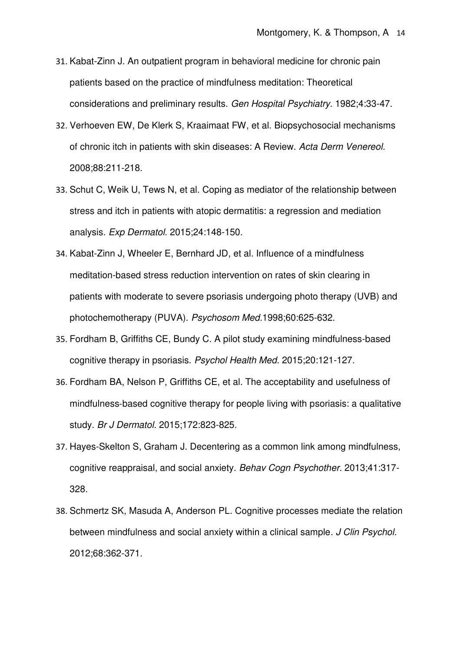- 31. Kabat-Zinn J. An outpatient program in behavioral medicine for chronic pain patients based on the practice of mindfulness meditation: Theoretical considerations and preliminary results. Gen Hospital Psychiatry. 1982;4:33-47.
- 32. Verhoeven EW, De Klerk S, Kraaimaat FW, et al. Biopsychosocial mechanisms of chronic itch in patients with skin diseases: A Review. Acta Derm Venereol. 2008;88:211-218.
- 33. Schut C, Weik U, Tews N, et al. Coping as mediator of the relationship between stress and itch in patients with atopic dermatitis: a regression and mediation analysis. Exp Dermatol. 2015;24:148-150.
- 34. Kabat-Zinn J, Wheeler E, Bernhard JD, et al. Influence of a mindfulness meditation-based stress reduction intervention on rates of skin clearing in patients with moderate to severe psoriasis undergoing photo therapy (UVB) and photochemotherapy (PUVA). Psychosom Med.1998;60:625-632.
- 35. Fordham B, Griffiths CE, Bundy C. A pilot study examining mindfulness-based cognitive therapy in psoriasis. Psychol Health Med. 2015;20:121-127.
- 36. Fordham BA, Nelson P, Griffiths CE, et al. The acceptability and usefulness of mindfulness‐based cognitive therapy for people living with psoriasis: a qualitative study. Br J Dermatol. 2015;172:823-825.
- 37. Hayes-Skelton S, Graham J. Decentering as a common link among mindfulness, cognitive reappraisal, and social anxiety. Behav Cogn Psychother. 2013;41:317- 328.
- 38. Schmertz SK, Masuda A, Anderson PL. Cognitive processes mediate the relation between mindfulness and social anxiety within a clinical sample. J Clin Psychol. 2012;68:362-371.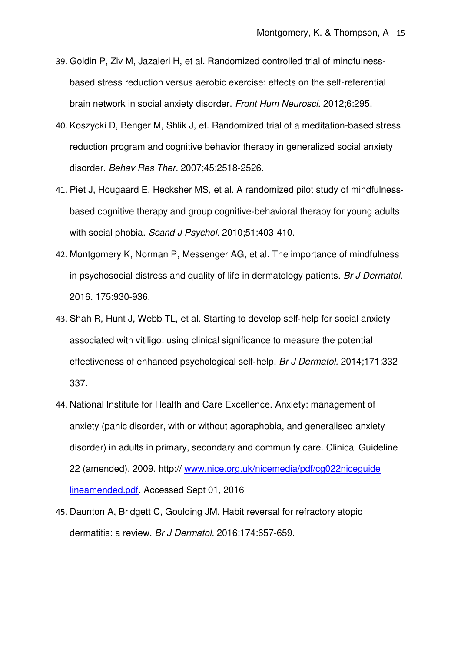- 39. Goldin P, Ziv M, Jazaieri H, et al. Randomized controlled trial of mindfulnessbased stress reduction versus aerobic exercise: effects on the self-referential brain network in social anxiety disorder. Front Hum Neurosci. 2012;6:295.
- 40. Koszycki D, Benger M, Shlik J, et. Randomized trial of a meditation-based stress reduction program and cognitive behavior therapy in generalized social anxiety disorder. Behav Res Ther. 2007;45:2518-2526.
- 41. Piet J, Hougaard E, Hecksher MS, et al. A randomized pilot study of mindfulness‐ based cognitive therapy and group cognitive‐behavioral therapy for young adults with social phobia. Scand J Psychol. 2010:51:403-410.
- 42. Montgomery K, Norman P, Messenger AG, et al. The importance of mindfulness in psychosocial distress and quality of life in dermatology patients. Br J Dermatol. 2016. 175:930-936.
- 43. Shah R, Hunt J, Webb TL, et al. Starting to develop self‐help for social anxiety associated with vitiligo: using clinical significance to measure the potential effectiveness of enhanced psychological self-help. Br J Dermatol. 2014;171:332-337.
- 44. National Institute for Health and Care Excellence. Anxiety: management of anxiety (panic disorder, with or without agoraphobia, and generalised anxiety disorder) in adults in primary, secondary and community care. Clinical Guideline 22 (amended). 2009. http:// [www.nice.org.uk/nicemedia/pdf/cg022niceguide](http://www.nice.org.uk/nicemedia/pdf/cg022niceguide%20lineamended.pdf)  [lineamended.pdf.](http://www.nice.org.uk/nicemedia/pdf/cg022niceguide%20lineamended.pdf) Accessed Sept 01, 2016
- 45. Daunton A, Bridgett C, Goulding JM. Habit reversal for refractory atopic dermatitis: a review. Br J Dermatol. 2016;174:657-659.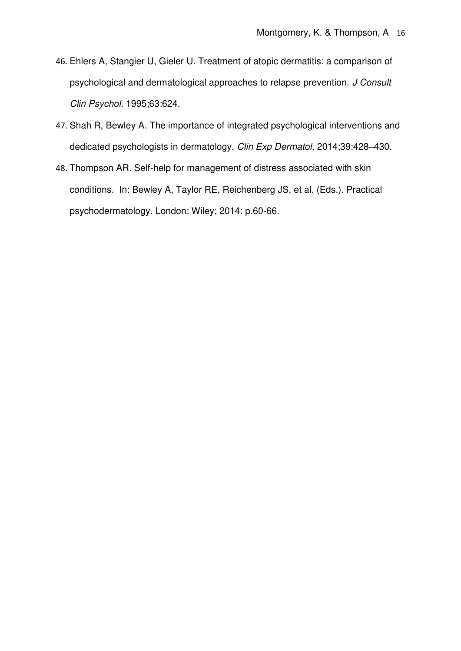- 46. Ehlers A, Stangier U, Gieler U. Treatment of atopic dermatitis: a comparison of psychological and dermatological approaches to relapse prevention. J Consult Clin Psychol. 1995;63:624.
- 47. Shah R, Bewley A. The importance of integrated psychological interventions and dedicated psychologists in dermatology. Clin Exp Dermatol. 2014;39:428–430.
- 48. Thompson AR. Self-help for management of distress associated with skin conditions. In: Bewley A, Taylor RE, Reichenberg JS, et al. (Eds.). Practical psychodermatology. London: Wiley; 2014: p.60-66.